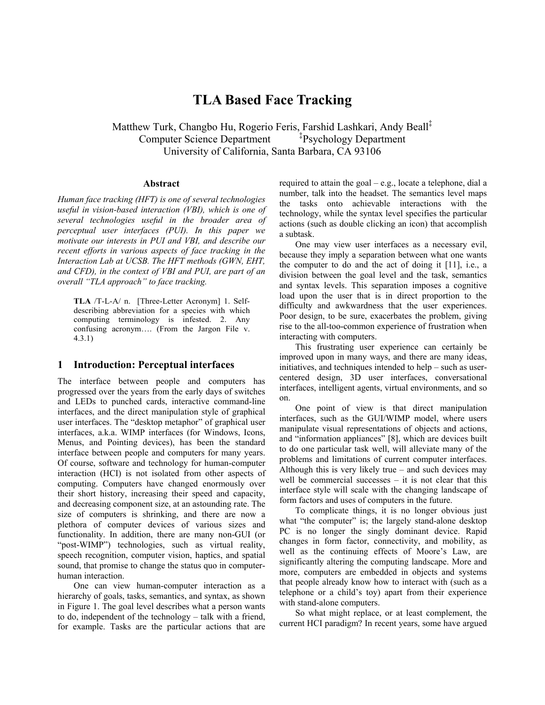# **TLA Based Face Tracking**

Matthew Turk, Changbo Hu, Rogerio Feris, Farshid Lashkari, Andy Beall‡ Computer Science Department Psychology Department University of California, Santa Barbara, CA 93106

#### **Abstract**

*Human face tracking (HFT) is one of several technologies useful in vision-based interaction (VBI), which is one of several technologies useful in the broader area of perceptual user interfaces (PUI). In this paper we motivate our interests in PUI and VBI, and describe our recent efforts in various aspects of face tracking in the Interaction Lab at UCSB. The HFT methods (GWN, EHT, and CFD), in the context of VBI and PUI, are part of an overall "TLA approach" to face tracking.* 

**TLA** /T-L-A/ n. [Three-Letter Acronym] 1. Selfdescribing abbreviation for a species with which computing terminology is infested. 2. Any confusing acronym…. (From the Jargon File v. 4.3.1)

## **1 Introduction: Perceptual interfaces**

The interface between people and computers has progressed over the years from the early days of switches and LEDs to punched cards, interactive command-line interfaces, and the direct manipulation style of graphical user interfaces. The "desktop metaphor" of graphical user interfaces, a.k.a. WIMP interfaces (for Windows, Icons, Menus, and Pointing devices), has been the standard interface between people and computers for many years. Of course, software and technology for human-computer interaction (HCI) is not isolated from other aspects of computing. Computers have changed enormously over their short history, increasing their speed and capacity, and decreasing component size, at an astounding rate. The size of computers is shrinking, and there are now a plethora of computer devices of various sizes and functionality. In addition, there are many non-GUI (or "post-WIMP") technologies, such as virtual reality, speech recognition, computer vision, haptics, and spatial sound, that promise to change the status quo in computerhuman interaction.

One can view human-computer interaction as a hierarchy of goals, tasks, semantics, and syntax, as shown in Figure 1. The goal level describes what a person wants to do, independent of the technology – talk with a friend, for example. Tasks are the particular actions that are required to attain the goal – e.g., locate a telephone, dial a number, talk into the headset. The semantics level maps the tasks onto achievable interactions with the technology, while the syntax level specifies the particular actions (such as double clicking an icon) that accomplish a subtask.

One may view user interfaces as a necessary evil, because they imply a separation between what one wants the computer to do and the act of doing it [11], i.e., a division between the goal level and the task, semantics and syntax levels. This separation imposes a cognitive load upon the user that is in direct proportion to the difficulty and awkwardness that the user experiences. Poor design, to be sure, exacerbates the problem, giving rise to the all-too-common experience of frustration when interacting with computers.

This frustrating user experience can certainly be improved upon in many ways, and there are many ideas, initiatives, and techniques intended to help – such as usercentered design, 3D user interfaces, conversational interfaces, intelligent agents, virtual environments, and so on.

One point of view is that direct manipulation interfaces, such as the GUI/WIMP model, where users manipulate visual representations of objects and actions, and "information appliances" [8], which are devices built to do one particular task well, will alleviate many of the problems and limitations of current computer interfaces. Although this is very likely true – and such devices may well be commercial successes – it is not clear that this interface style will scale with the changing landscape of form factors and uses of computers in the future.

To complicate things, it is no longer obvious just what "the computer" is; the largely stand-alone desktop PC is no longer the singly dominant device. Rapid changes in form factor, connectivity, and mobility, as well as the continuing effects of Moore's Law, are significantly altering the computing landscape. More and more, computers are embedded in objects and systems that people already know how to interact with (such as a telephone or a child's toy) apart from their experience with stand-alone computers.

So what might replace, or at least complement, the current HCI paradigm? In recent years, some have argued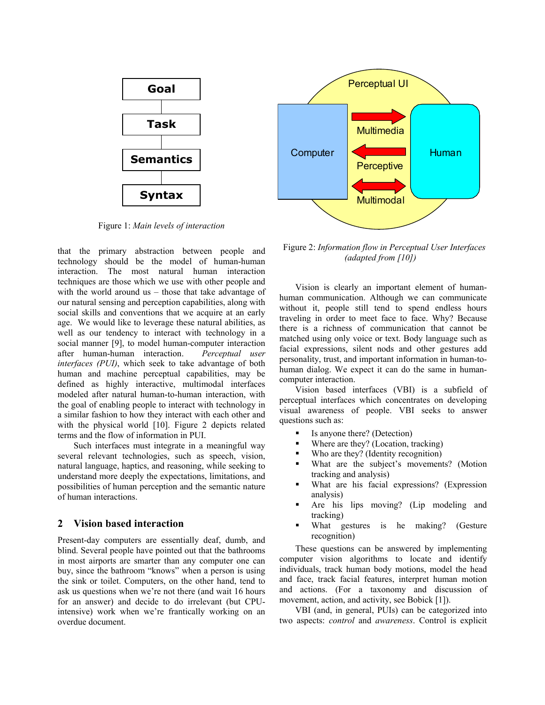

Figure 1: *Main levels of interaction*

that the primary abstraction between people and technology should be the model of human-human interaction. The most natural human interaction techniques are those which we use with other people and with the world around us – those that take advantage of our natural sensing and perception capabilities, along with social skills and conventions that we acquire at an early age. We would like to leverage these natural abilities, as well as our tendency to interact with technology in a social manner [9], to model human-computer interaction after human-human interaction. *Perceptual user interfaces (PUI)*, which seek to take advantage of both human and machine perceptual capabilities, may be defined as highly interactive, multimodal interfaces modeled after natural human-to-human interaction, with the goal of enabling people to interact with technology in a similar fashion to how they interact with each other and with the physical world [10]. Figure 2 depicts related terms and the flow of information in PUI.

Such interfaces must integrate in a meaningful way several relevant technologies, such as speech, vision, natural language, haptics, and reasoning, while seeking to understand more deeply the expectations, limitations, and possibilities of human perception and the semantic nature of human interactions.

# **2 Vision based interaction**

Present-day computers are essentially deaf, dumb, and blind. Several people have pointed out that the bathrooms in most airports are smarter than any computer one can buy, since the bathroom "knows" when a person is using the sink or toilet. Computers, on the other hand, tend to ask us questions when we're not there (and wait 16 hours for an answer) and decide to do irrelevant (but CPUintensive) work when we're frantically working on an overdue document.



Figure 2: *Information flow in Perceptual User Interfaces (adapted from [10])* 

Vision is clearly an important element of humanhuman communication. Although we can communicate without it, people still tend to spend endless hours traveling in order to meet face to face. Why? Because there is a richness of communication that cannot be matched using only voice or text. Body language such as facial expressions, silent nods and other gestures add personality, trust, and important information in human-tohuman dialog. We expect it can do the same in humancomputer interaction.

Vision based interfaces (VBI) is a subfield of perceptual interfaces which concentrates on developing visual awareness of people. VBI seeks to answer questions such as:

- Is anyone there? (Detection)
- Where are they? (Location, tracking)
- Who are they? (Identity recognition)
- What are the subject's movements? (Motion tracking and analysis)
- What are his facial expressions? (Expression analysis)
- Are his lips moving? (Lip modeling and tracking)
- What gestures is he making? (Gesture recognition)

These questions can be answered by implementing computer vision algorithms to locate and identify individuals, track human body motions, model the head and face, track facial features, interpret human motion and actions. (For a taxonomy and discussion of movement, action, and activity, see Bobick [1]).

VBI (and, in general, PUIs) can be categorized into two aspects: *control* and *awareness*. Control is explicit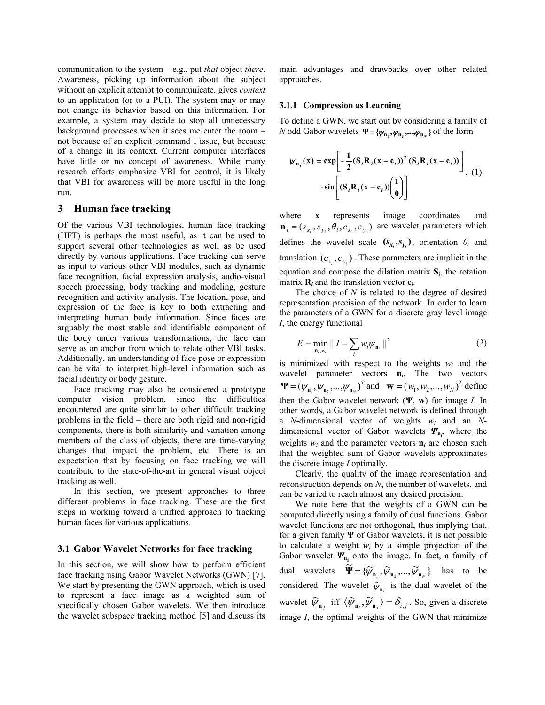communication to the system – e.g., put *that* object *there*. Awareness, picking up information about the subject without an explicit attempt to communicate, gives *context* to an application (or to a PUI). The system may or may not change its behavior based on this information. For example, a system may decide to stop all unnecessary background processes when it sees me enter the room – not because of an explicit command I issue, but because of a change in its context. Current computer interfaces have little or no concept of awareness. While many research efforts emphasize VBI for control, it is likely that VBI for awareness will be more useful in the long run.

## **3 Human face tracking**

Of the various VBI technologies, human face tracking (HFT) is perhaps the most useful, as it can be used to support several other technologies as well as be used directly by various applications. Face tracking can serve as input to various other VBI modules, such as dynamic face recognition, facial expression analysis, audio-visual speech processing, body tracking and modeling, gesture recognition and activity analysis. The location, pose, and expression of the face is key to both extracting and interpreting human body information. Since faces are arguably the most stable and identifiable component of the body under various transformations, the face can serve as an anchor from which to relate other VBI tasks. Additionally, an understanding of face pose or expression can be vital to interpret high-level information such as facial identity or body gesture.

Face tracking may also be considered a prototype computer vision problem, since the difficulties encountered are quite similar to other difficult tracking problems in the field – there are both rigid and non-rigid components, there is both similarity and variation among members of the class of objects, there are time-varying changes that impact the problem, etc. There is an expectation that by focusing on face tracking we will contribute to the state-of-the-art in general visual object tracking as well.

In this section, we present approaches to three different problems in face tracking. These are the first steps in working toward a unified approach to tracking human faces for various applications.

#### **3.1 Gabor Wavelet Networks for face tracking**

In this section, we will show how to perform efficient face tracking using Gabor Wavelet Networks (GWN) [7]. We start by presenting the GWN approach, which is used to represent a face image as a weighted sum of specifically chosen Gabor wavelets. We then introduce the wavelet subspace tracking method [5] and discuss its

main advantages and drawbacks over other related approaches.

#### **3.1.1 Compression as Learning**

To define a GWN, we start out by considering a family of *N* odd Gabor wavelets  $\Psi = {\psi_{n_1}, \psi_{n_2}, ..., \psi_{n_N}}$  of the form

$$
\psi_{n_i}(x) = \exp\left[-\frac{1}{2}(S_i R_i (x - c_i))^T (S_i R_i (x - c_i))\right] \cdot \sin\left[(S_i R_i (x - c_i))\begin{pmatrix}1\\0\end{pmatrix}\right]
$$

where **x** represents image coordinates and  $\mathbf{n}_i = (s_{x_i}, s_{y_i}, \theta_i, c_{x_i}, c_{y_i})$  are wavelet parameters which defines the wavelet scale  $(\mathbf{s}_x, \mathbf{s}_y)$ , orientation  $\theta_i$  and translation  $(c_{x_i}, c_{y_i})$ . These parameters are implicit in the equation and compose the dilation matrix **S***i*, the rotation matrix  $\mathbf{R}_i$  and the translation vector  $\mathbf{c}_i$ .

The choice of *N* is related to the degree of desired representation precision of the network. In order to learn the parameters of a GWN for a discrete gray level image *I*, the energy functional

$$
E = \min_{\mathbf{n}_i, w_i} \left\| I - \sum_i w_i \psi_{\mathbf{n}_i} \right\|^2 \tag{2}
$$

is minimized with respect to the weights *wi* and the wavelet parameter vectors **n***i*. The two vectors  $\Psi = (\psi_{n_1}, \psi_{n_2}, ..., \psi_{n_N})^T$  and  $\mathbf{w} = (\psi_1, \psi_2, ..., \psi_N)^T$  define then the Gabor wavelet network (**Ψ**, **w**) for image *I*. In other words, a Gabor wavelet network is defined through a *N*-dimensional vector of weights *wi* and an *N*dimensional vector of Gabor wavelets *Ψ***<sup>n</sup>***<sup>i</sup>* , where the weights  $w_i$  and the parameter vectors  $\mathbf{n}_i$  are chosen such that the weighted sum of Gabor wavelets approximates the discrete image *I* optimally.

Clearly, the quality of the image representation and reconstruction depends on *N*, the number of wavelets, and can be varied to reach almost any desired precision.

We note here that the weights of a GWN can be computed directly using a family of dual functions. Gabor wavelet functions are not orthogonal, thus implying that, for a given family **Ψ** of Gabor wavelets, it is not possible to calculate a weight  $w_i$  by a simple projection of the Gabor wavelet **Ψ**<sub>n<sub>i</sub></sub> onto the image. In fact, a family of dual wavelets  $\widetilde{\Psi} = {\{\widetilde{\psi}_{n_1}, \widetilde{\psi}_{n_2}, ..., \widetilde{\psi}_{n_N}\}}$  has to be considered. The wavelet  $\widetilde{\psi}_{n_i}$  is the dual wavelet of the wavelet  $\widetilde{\psi}_{n_j}$  iff  $\langle \widetilde{\psi}_{n_i}, \widetilde{\psi}_{n_j} \rangle = \delta_{i,j}$ . So, given a discrete image *I*, the optimal weights of the GWN that minimize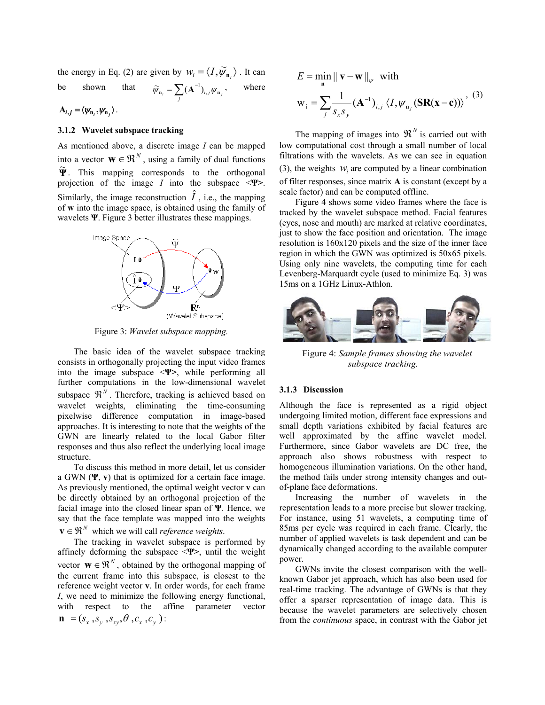the energy in Eq. (2) are given by  $w_i = \langle I, \widetilde{\psi}_{n_i} \rangle$ . It can be shown that  $\widetilde{\psi}_{\mathbf{n}_i} = \sum_j (\mathbf{A}^{-1})_{i,j} \psi_{\mathbf{n}_j}$ , where

$$
A_{i,j} = \langle \psi_{n_i}, \psi_{n_j} \rangle.
$$

## **3.1.2 Wavelet subspace tracking**

As mentioned above, a discrete image *I* can be mapped into a vector  $\mathbf{W} \in \mathbb{R}^N$ , using a family of dual functions **Ψ** <sup>~</sup> . This mapping corresponds to the orthogonal projection of the image *I* into the subspace <**Ψ>**. Similarly, the image reconstruction  $\hat{I}$ , i.e., the mapping of **w** into the image space, is obtained using the family of wavelets **Ψ**. Figure 3 better illustrates these mappings.



Figure 3: *Wavelet subspace mapping.*

The basic idea of the wavelet subspace tracking consists in orthogonally projecting the input video frames into the image subspace <**Ψ>**, while performing all further computations in the low-dimensional wavelet subspace  $\mathfrak{R}^N$ . Therefore, tracking is achieved based on wavelet weights, eliminating the time-consuming pixelwise difference computation in image-based approaches. It is interesting to note that the weights of the GWN are linearly related to the local Gabor filter responses and thus also reflect the underlying local image structure.

To discuss this method in more detail, let us consider a GWN (**Ψ**, **v**) that is optimized for a certain face image. As previously mentioned, the optimal weight vector **v** can be directly obtained by an orthogonal projection of the facial image into the closed linear span of **Ψ**. Hence, we say that the face template was mapped into the weights  $\mathbf{v} \in \mathbb{R}^N$  which we will call *reference weights*.

The tracking in wavelet subspace is performed by affinely deforming the subspace <**Ψ>**, until the weight vector  $\mathbf{w} \in \mathbb{R}^N$ , obtained by the orthogonal mapping of the current frame into this subspace, is closest to the reference weight vector **v**. In order words, for each frame *I*, we need to minimize the following energy functional, with respect to the affine parameter vector  $\mathbf{n} = (s_x, s_y, s_x, \theta, c_x, c_y)$ :

$$
E = \min_{\mathbf{n}} \|\mathbf{v} - \mathbf{w}\|_{\psi} \text{ with}
$$

$$
\mathbf{w}_{i} = \sum_{j} \frac{1}{s_{x} s_{y}} (\mathbf{A}^{-1})_{i,j} \langle I, \psi_{\mathbf{n}_{j}} (\mathbf{SR}(\mathbf{x} - \mathbf{c})) \rangle, \quad (3)
$$

The mapping of images into  $\mathfrak{R}^N$  is carried out with low computational cost through a small number of local filtrations with the wavelets. As we can see in equation (3), the weights  $W_i$  are computed by a linear combination of filter responses, since matrix **A** is constant (except by a scale factor) and can be computed offline.

Figure 4 shows some video frames where the face is tracked by the wavelet subspace method. Facial features (eyes, nose and mouth) are marked at relative coordinates, just to show the face position and orientation. The image resolution is 160x120 pixels and the size of the inner face region in which the GWN was optimized is 50x65 pixels. Using only nine wavelets, the computing time for each Levenberg-Marquardt cycle (used to minimize Eq. 3) was 15ms on a 1GHz Linux-Athlon.



Figure 4: *Sample frames showing the wavelet subspace tracking.* 

#### **3.1.3 Discussion**

Although the face is represented as a rigid object undergoing limited motion, different face expressions and small depth variations exhibited by facial features are well approximated by the affine wavelet model. Furthermore, since Gabor wavelets are DC free, the approach also shows robustness with respect to homogeneous illumination variations. On the other hand, the method fails under strong intensity changes and outof-plane face deformations.

Increasing the number of wavelets in the representation leads to a more precise but slower tracking. For instance, using 51 wavelets, a computing time of 85ms per cycle was required in each frame. Clearly, the number of applied wavelets is task dependent and can be dynamically changed according to the available computer power.

GWNs invite the closest comparison with the wellknown Gabor jet approach, which has also been used for real-time tracking. The advantage of GWNs is that they offer a sparser representation of image data. This is because the wavelet parameters are selectively chosen from the *continuous* space, in contrast with the Gabor jet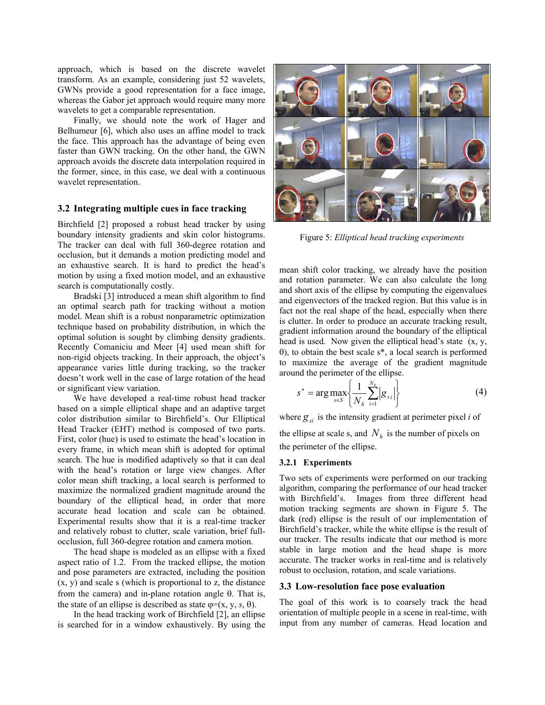approach, which is based on the discrete wavelet transform. As an example, considering just 52 wavelets, GWNs provide a good representation for a face image, whereas the Gabor jet approach would require many more wavelets to get a comparable representation.

Finally, we should note the work of Hager and Belhumeur [6], which also uses an affine model to track the face. This approach has the advantage of being even faster than GWN tracking. On the other hand, the GWN approach avoids the discrete data interpolation required in the former, since, in this case, we deal with a continuous wavelet representation.

## **3.2 Integrating multiple cues in face tracking**

Birchfield [2] proposed a robust head tracker by using boundary intensity gradients and skin color histograms. The tracker can deal with full 360-degree rotation and occlusion, but it demands a motion predicting model and an exhaustive search. It is hard to predict the head's motion by using a fixed motion model, and an exhaustive search is computationally costly.

Bradski [3] introduced a mean shift algorithm to find an optimal search path for tracking without a motion model. Mean shift is a robust nonparametric optimization technique based on probability distribution, in which the optimal solution is sought by climbing density gradients. Recently Comaniciu and Meer [4] used mean shift for non-rigid objects tracking. In their approach, the object's appearance varies little during tracking, so the tracker doesn't work well in the case of large rotation of the head or significant view variation.

We have developed a real-time robust head tracker based on a simple elliptical shape and an adaptive target color distribution similar to Birchfield's. Our Elliptical Head Tracker (EHT) method is composed of two parts. First, color (hue) is used to estimate the head's location in every frame, in which mean shift is adopted for optimal search. The hue is modified adaptively so that it can deal with the head's rotation or large view changes. After color mean shift tracking, a local search is performed to maximize the normalized gradient magnitude around the boundary of the elliptical head, in order that more accurate head location and scale can be obtained. Experimental results show that it is a real-time tracker and relatively robust to clutter, scale variation, brief fullocclusion, full 360-degree rotation and camera motion.

The head shape is modeled as an ellipse with a fixed aspect ratio of 1.2. From the tracked ellipse, the motion and pose parameters are extracted, including the position (x, y) and scale s (which is proportional to z, the distance from the camera) and in-plane rotation angle  $\theta$ . That is, the state of an ellipse is described as state  $\varphi = (x, y, s, \theta)$ .

In the head tracking work of Birchfield [2], an ellipse is searched for in a window exhaustively. By using the



Figure 5: *Elliptical head tracking experiments*

mean shift color tracking, we already have the position and rotation parameter. We can also calculate the long and short axis of the ellipse by computing the eigenvalues and eigenvectors of the tracked region. But this value is in fact not the real shape of the head, especially when there is clutter. In order to produce an accurate tracking result, gradient information around the boundary of the elliptical head is used. Now given the elliptical head's state (x, y, θ), to obtain the best scale s\*, a local search is performed to maximize the average of the gradient magnitude around the perimeter of the ellipse.

$$
s^* = \arg \max_{s \in S} \left\{ \frac{1}{N_h} \sum_{i=1}^{N_h} |g_{s_i}| \right\}
$$
 (4)

where  $g_{si}$  is the intensity gradient at perimeter pixel *i* of the ellipse at scale s, and  $N<sub>h</sub>$  is the number of pixels on the perimeter of the ellipse.

#### **3.2.1 Experiments**

Two sets of experiments were performed on our tracking algorithm, comparing the performance of our head tracker with Birchfield's. Images from three different head motion tracking segments are shown in Figure 5. The dark (red) ellipse is the result of our implementation of Birchfield's tracker, while the white ellipse is the result of our tracker. The results indicate that our method is more stable in large motion and the head shape is more accurate. The tracker works in real-time and is relatively robust to occlusion, rotation, and scale variations.

## **3.3 Low-resolution face pose evaluation**

The goal of this work is to coarsely track the head orientation of multiple people in a scene in real-time, with input from any number of cameras. Head location and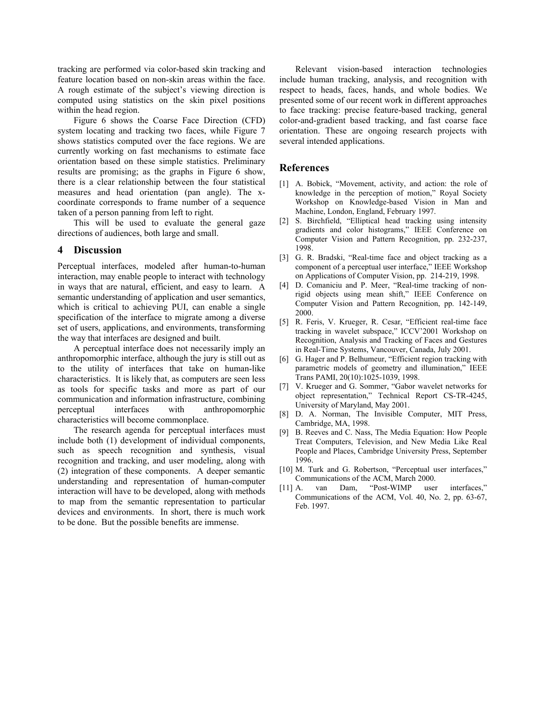tracking are performed via color-based skin tracking and feature location based on non-skin areas within the face. A rough estimate of the subject's viewing direction is computed using statistics on the skin pixel positions within the head region.

Figure 6 shows the Coarse Face Direction (CFD) system locating and tracking two faces, while Figure 7 shows statistics computed over the face regions. We are currently working on fast mechanisms to estimate face orientation based on these simple statistics. Preliminary results are promising; as the graphs in Figure 6 show, there is a clear relationship between the four statistical measures and head orientation (pan angle). The xcoordinate corresponds to frame number of a sequence taken of a person panning from left to right.

This will be used to evaluate the general gaze directions of audiences, both large and small.

# **4 Discussion**

Perceptual interfaces, modeled after human-to-human interaction, may enable people to interact with technology in ways that are natural, efficient, and easy to learn. A semantic understanding of application and user semantics, which is critical to achieving PUI, can enable a single specification of the interface to migrate among a diverse set of users, applications, and environments, transforming the way that interfaces are designed and built.

A perceptual interface does not necessarily imply an anthropomorphic interface, although the jury is still out as to the utility of interfaces that take on human-like characteristics. It is likely that, as computers are seen less as tools for specific tasks and more as part of our communication and information infrastructure, combining perceptual interfaces with anthropomorphic characteristics will become commonplace.

The research agenda for perceptual interfaces must include both (1) development of individual components, such as speech recognition and synthesis, visual recognition and tracking, and user modeling, along with (2) integration of these components. A deeper semantic understanding and representation of human-computer interaction will have to be developed, along with methods to map from the semantic representation to particular devices and environments. In short, there is much work to be done. But the possible benefits are immense.

Relevant vision-based interaction technologies include human tracking, analysis, and recognition with respect to heads, faces, hands, and whole bodies. We presented some of our recent work in different approaches to face tracking: precise feature-based tracking, general color-and-gradient based tracking, and fast coarse face orientation. These are ongoing research projects with several intended applications.

## **References**

- [1] A. Bobick, "Movement, activity, and action: the role of knowledge in the perception of motion," Royal Society Workshop on Knowledge-based Vision in Man and Machine, London, England, February 1997.
- [2] S. Birchfield, "Elliptical head tracking using intensity gradients and color histograms," IEEE Conference on Computer Vision and Pattern Recognition, pp. 232-237, 1998.
- [3] G. R. Bradski, "Real-time face and object tracking as a component of a perceptual user interface," IEEE Workshop on Applications of Computer Vision, pp. 214-219, 1998.
- [4] D. Comaniciu and P. Meer, "Real-time tracking of nonrigid objects using mean shift," IEEE Conference on Computer Vision and Pattern Recognition, pp. 142-149, 2000.
- [5] R. Feris, V. Krueger, R. Cesar, "Efficient real-time face tracking in wavelet subspace," ICCV'2001 Workshop on Recognition, Analysis and Tracking of Faces and Gestures in Real-Time Systems, Vancouver, Canada, July 2001.
- [6] G. Hager and P. Belhumeur, "Efficient region tracking with parametric models of geometry and illumination," IEEE Trans PAMI, 20(10):1025-1039, 1998.
- [7] V. Krueger and G. Sommer, "Gabor wavelet networks for object representation," Technical Report CS-TR-4245, University of Maryland, May 2001.
- [8] D. A. Norman, The Invisible Computer, MIT Press, Cambridge, MA, 1998.
- [9] B. Reeves and C. Nass, The Media Equation: How People Treat Computers, Television, and New Media Like Real People and Places, Cambridge University Press, September 1996.
- [10] M. Turk and G. Robertson, "Perceptual user interfaces," Communications of the ACM, March 2000.
- [11] A. van Dam, "Post-WIMP user interfaces," Communications of the ACM, Vol. 40, No. 2, pp. 63-67, Feb. 1997.